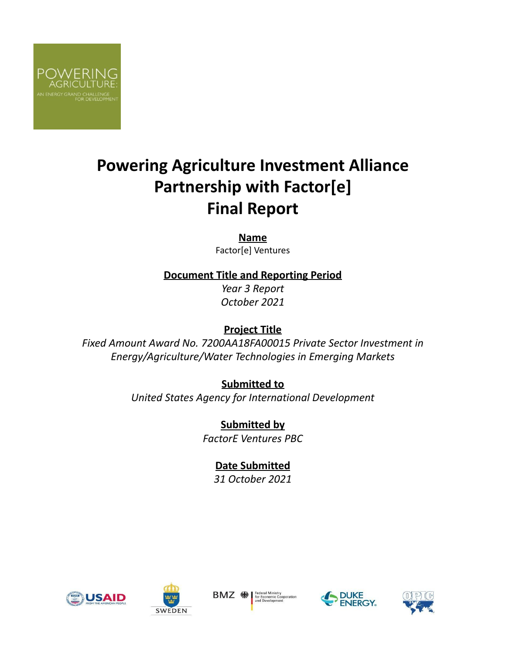

# **Powering Agriculture Investment Alliance Partnership with Factor[e] Final Report**

**Name** Factor[e] Ventures

**Document Title and Reporting Period**

*Year 3 Report October 2021*

# **Project Title**

*Fixed Amount Award No. 7200AA18FA00015 Private Sector Investment in Energy/Agriculture/Water Technologies in Emerging Markets*

> **Submitted to** *United States Agency for International Development*

> > **Submitted by** *FactorE Ventures PBC*

> > > **Date Submitted**

*31 October 2021*







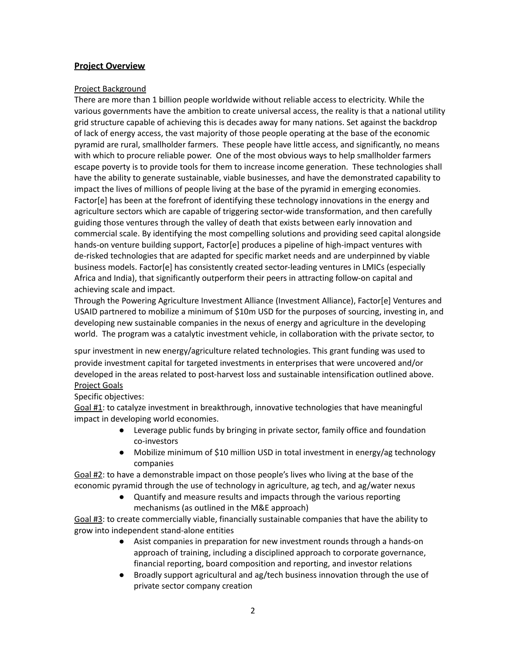# **Project Overview**

#### Project Background

There are more than 1 billion people worldwide without reliable access to electricity. While the various governments have the ambition to create universal access, the reality is that a national utility grid structure capable of achieving this is decades away for many nations. Set against the backdrop of lack of energy access, the vast majority of those people operating at the base of the economic pyramid are rural, smallholder farmers. These people have little access, and significantly, no means with which to procure reliable power. One of the most obvious ways to help smallholder farmers escape poverty is to provide tools for them to increase income generation. These technologies shall have the ability to generate sustainable, viable businesses, and have the demonstrated capability to impact the lives of millions of people living at the base of the pyramid in emerging economies. Factor[e] has been at the forefront of identifying these technology innovations in the energy and agriculture sectors which are capable of triggering sector-wide transformation, and then carefully guiding those ventures through the valley of death that exists between early innovation and commercial scale. By identifying the most compelling solutions and providing seed capital alongside hands-on venture building support, Factor[e] produces a pipeline of high-impact ventures with de-risked technologies that are adapted for specific market needs and are underpinned by viable business models. Factor[e] has consistently created sector-leading ventures in LMICs (especially Africa and India), that significantly outperform their peers in attracting follow-on capital and achieving scale and impact.

Through the Powering Agriculture Investment Alliance (Investment Alliance), Factor[e] Ventures and USAID partnered to mobilize a minimum of \$10m USD for the purposes of sourcing, investing in, and developing new sustainable companies in the nexus of energy and agriculture in the developing world. The program was a catalytic investment vehicle, in collaboration with the private sector, to

spur investment in new energy/agriculture related technologies. This grant funding was used to provide investment capital for targeted investments in enterprises that were uncovered and/or developed in the areas related to post-harvest loss and sustainable intensification outlined above. Project Goals

#### Specific objectives:

Goal #1: to catalyze investment in breakthrough, innovative technologies that have meaningful impact in developing world economies.

- Leverage public funds by bringing in private sector, family office and foundation co-investors
- Mobilize minimum of \$10 million USD in total investment in energy/ag technology companies

Goal #2: to have a demonstrable impact on those people's lives who living at the base of the economic pyramid through the use of technology in agriculture, ag tech, and ag/water nexus

> ● Quantify and measure results and impacts through the various reporting mechanisms (as outlined in the M&E approach)

Goal #3: to create commercially viable, financially sustainable companies that have the ability to grow into independent stand-alone entities

- Asist companies in preparation for new investment rounds through a hands-on approach of training, including a disciplined approach to corporate governance, financial reporting, board composition and reporting, and investor relations
- Broadly support agricultural and ag/tech business innovation through the use of private sector company creation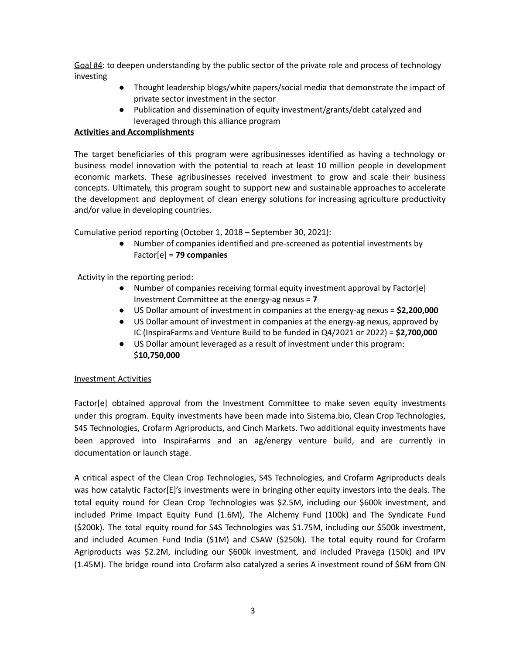Goal #4: to deepen understanding by the public sector of the private role and process of technology investing

- Thought leadership blogs/white papers/social media that demonstrate the impact of private sector investment in the sector
- Publication and dissemination of equity investment/grants/debt catalyzed and leveraged through this alliance program

#### **Activities and Accomplishments**

The target beneficiaries of this program were agribusinesses identified as having a technology or business model innovation with the potential to reach at least 10 million people in development economic markets. These agribusinesses received investment to grow and scale their business concepts. Ultimately, this program sought to support new and sustainable approaches to accelerate the development and deployment of clean energy solutions for increasing agriculture productivity and/or value in developing countries.

Cumulative period reporting (October 1, 2018 – September 30, 2021):

● Number of companies identified and pre-screened as potential investments by Factor[e] = **79 companies**

Activity in the reporting period:

- Number of companies receiving formal equity investment approval by Factor[e] Investment Committee at the energy-ag nexus = **7**
- US Dollar amount of investment in companies at the energy-ag nexus = **\$2,200,000**
- US Dollar amount of investment in companies at the energy-ag nexus, approved by IC (InspiraFarms and Venture Build to be funded in Q4/2021 or 2022) = **\$2,700,000**
- US Dollar amount leveraged as a result of investment under this program: \$**10,750,000**

#### Investment Activities

Factor[e] obtained approval from the Investment Committee to make seven equity investments under this program. Equity investments have been made into Sistema.bio, Clean Crop Technologies, S4S Technologies, Crofarm Agriproducts, and Cinch Markets. Two additional equity investments have been approved into InspiraFarms and an ag/energy venture build, and are currently in documentation or launch stage.

A critical aspect of the Clean Crop Technologies, S4S Technologies, and Crofarm Agriproducts deals was how catalytic Factor[E]'s investments were in bringing other equity investors into the deals. The total equity round for Clean Crop Technologies was \$2.5M, including our \$600k investment, and included Prime Impact Equity Fund (1.6M), The Alchemy Fund (100k) and The Syndicate Fund (\$200k). The total equity round for S4S Technologies was \$1.75M, including our \$500k investment, and included Acumen Fund India (\$1M) and CSAW (\$250k). The total equity round for Crofarm Agriproducts was \$2.2M, including our \$600k investment, and included Pravega (150k) and IPV (1.45M). The bridge round into Crofarm also catalyzed a series A investment round of \$6M from ON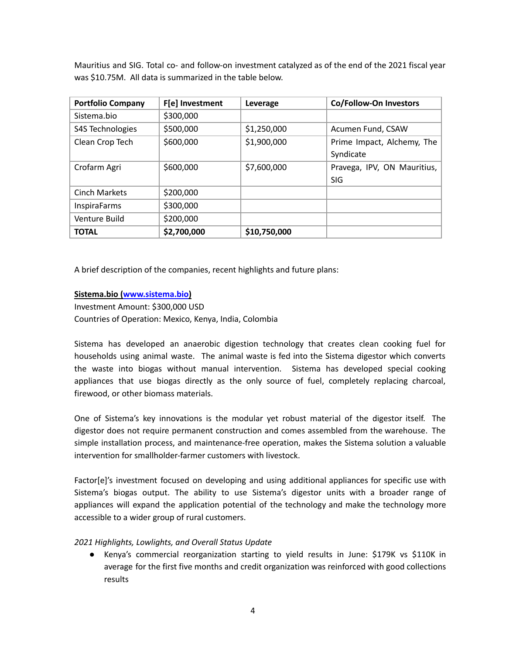Mauritius and SIG. Total co- and follow-on investment catalyzed as of the end of the 2021 fiscal year was \$10.75M. All data is summarized in the table below.

| <b>Portfolio Company</b> | F[e] Investment | Leverage     | Co/Follow-On Investors      |
|--------------------------|-----------------|--------------|-----------------------------|
| Sistema.bio              | \$300,000       |              |                             |
| S4S Technologies         | \$500,000       | \$1,250,000  | Acumen Fund, CSAW           |
| Clean Crop Tech          | \$600,000       | \$1,900,000  | Prime Impact, Alchemy, The  |
|                          |                 |              | Syndicate                   |
| Crofarm Agri             | \$600,000       | \$7,600,000  | Pravega, IPV, ON Mauritius, |
|                          |                 |              | <b>SIG</b>                  |
| <b>Cinch Markets</b>     | \$200,000       |              |                             |
| <b>InspiraFarms</b>      | \$300,000       |              |                             |
| Venture Build            | \$200,000       |              |                             |
| TOTAL                    | \$2,700,000     | \$10,750,000 |                             |

A brief description of the companies, recent highlights and future plans:

#### **Sistema.bio [\(www.sistema.bio](http://www.sistema.bio))**

Investment Amount: \$300,000 USD Countries of Operation: Mexico, Kenya, India, Colombia

Sistema has developed an anaerobic digestion technology that creates clean cooking fuel for households using animal waste. The animal waste is fed into the Sistema digestor which converts the waste into biogas without manual intervention. Sistema has developed special cooking appliances that use biogas directly as the only source of fuel, completely replacing charcoal, firewood, or other biomass materials.

One of Sistema's key innovations is the modular yet robust material of the digestor itself. The digestor does not require permanent construction and comes assembled from the warehouse. The simple installation process, and maintenance-free operation, makes the Sistema solution a valuable intervention for smallholder-farmer customers with livestock.

Factor[e]'s investment focused on developing and using additional appliances for specific use with Sistema's biogas output. The ability to use Sistema's digestor units with a broader range of appliances will expand the application potential of the technology and make the technology more accessible to a wider group of rural customers.

#### *2021 Highlights, Lowlights, and Overall Status Update*

*●* Kenya's commercial reorganization starting to yield results in June: \$179K vs \$110K in average for the first five months and credit organization was reinforced with good collections results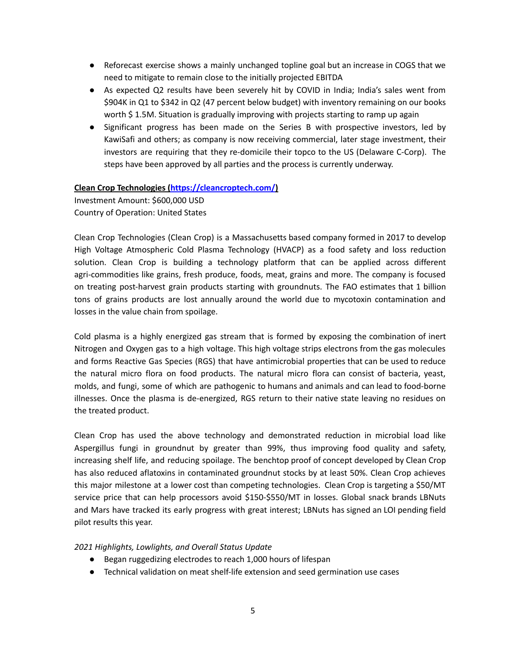- *●* Reforecast exercise shows a mainly unchanged topline goal but an increase in COGS that we need to mitigate to remain close to the initially projected EBITDA
- As expected Q2 results have been severely hit by COVID in India; India's sales went from \$904K in Q1 to \$342 in Q2 (47 percent below budget) with inventory remaining on our books worth \$1.5M. Situation is gradually improving with projects starting to ramp up again
- Significant progress has been made on the Series B with prospective investors, led by KawiSafi and others; as company is now receiving commercial, later stage investment, their investors are requiring that they re-domicile their topco to the US (Delaware C-Corp). The steps have been approved by all parties and the process is currently underway.

#### **Clean Crop Technologies [\(https://cleancroptech.com/](https://cleancroptech.com/))**

Investment Amount: \$600,000 USD Country of Operation: United States

Clean Crop Technologies (Clean Crop) is a Massachusetts based company formed in 2017 to develop High Voltage Atmospheric Cold Plasma Technology (HVACP) as a food safety and loss reduction solution. Clean Crop is building a technology platform that can be applied across different agri-commodities like grains, fresh produce, foods, meat, grains and more. The company is focused on treating post-harvest grain products starting with groundnuts. The FAO estimates that 1 billion tons of grains products are lost annually around the world due to mycotoxin contamination and losses in the value chain from spoilage.

Cold plasma is a highly energized gas stream that is formed by exposing the combination of inert Nitrogen and Oxygen gas to a high voltage. This high voltage strips electrons from the gas molecules and forms Reactive Gas Species (RGS) that have antimicrobial properties that can be used to reduce the natural micro flora on food products. The natural micro flora can consist of bacteria, yeast, molds, and fungi, some of which are pathogenic to humans and animals and can lead to food-borne illnesses. Once the plasma is de-energized, RGS return to their native state leaving no residues on the treated product.

Clean Crop has used the above technology and demonstrated reduction in microbial load like Aspergillus fungi in groundnut by greater than 99%, thus improving food quality and safety, increasing shelf life, and reducing spoilage. The benchtop proof of concept developed by Clean Crop has also reduced aflatoxins in contaminated groundnut stocks by at least 50%. Clean Crop achieves this major milestone at a lower cost than competing technologies. Clean Crop is targeting a \$50/MT service price that can help processors avoid \$150-\$550/MT in losses. Global snack brands LBNuts and Mars have tracked its early progress with great interest; LBNuts has signed an LOI pending field pilot results this year.

# *2021 Highlights, Lowlights, and Overall Status Update*

- Began ruggedizing electrodes to reach 1,000 hours of lifespan
- Technical validation on meat shelf-life extension and seed germination use cases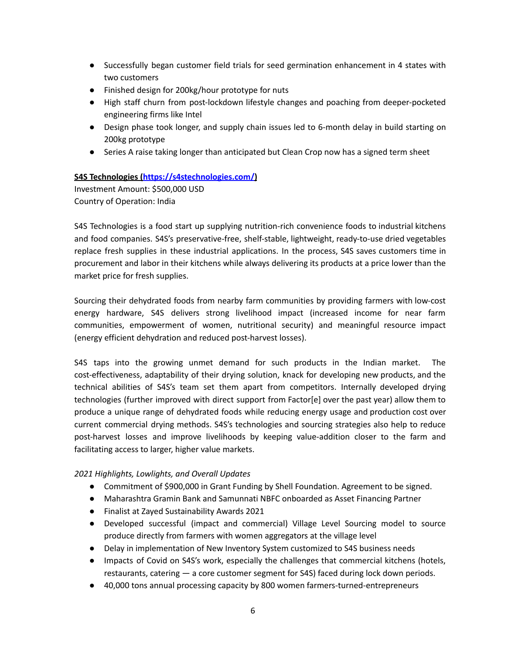- Successfully began customer field trials for seed germination enhancement in 4 states with two customers
- Finished design for 200kg/hour prototype for nuts
- High staff churn from post-lockdown lifestyle changes and poaching from deeper-pocketed engineering firms like Intel
- Design phase took longer, and supply chain issues led to 6-month delay in build starting on 200kg prototype
- Series A raise taking longer than anticipated but Clean Crop now has a signed term sheet

# **S4S Technologies [\(https://s4stechnologies.com/](https://s4stechnologies.com/))**

Investment Amount: \$500,000 USD Country of Operation: India

S4S Technologies is a food start up supplying nutrition-rich convenience foods to industrial kitchens and food companies. S4S's preservative-free, shelf-stable, lightweight, ready-to-use dried vegetables replace fresh supplies in these industrial applications. In the process, S4S saves customers time in procurement and labor in their kitchens while always delivering its products at a price lower than the market price for fresh supplies.

Sourcing their dehydrated foods from nearby farm communities by providing farmers with low-cost energy hardware, S4S delivers strong livelihood impact (increased income for near farm communities, empowerment of women, nutritional security) and meaningful resource impact (energy efficient dehydration and reduced post-harvest losses).

S4S taps into the growing unmet demand for such products in the Indian market. The cost-effectiveness, adaptability of their drying solution, knack for developing new products, and the technical abilities of S4S's team set them apart from competitors. Internally developed drying technologies (further improved with direct support from Factor[e] over the past year) allow them to produce a unique range of dehydrated foods while reducing energy usage and production cost over current commercial drying methods. S4S's technologies and sourcing strategies also help to reduce post-harvest losses and improve livelihoods by keeping value-addition closer to the farm and facilitating access to larger, higher value markets.

# *2021 Highlights, Lowlights, and Overall Updates*

- Commitment of \$900,000 in Grant Funding by Shell Foundation. Agreement to be signed.
- Maharashtra Gramin Bank and Samunnati NBFC onboarded as Asset Financing Partner
- Finalist at Zayed Sustainability Awards 2021
- Developed successful (impact and commercial) Village Level Sourcing model to source produce directly from farmers with women aggregators at the village level
- Delay in implementation of New Inventory System customized to S4S business needs
- Impacts of Covid on S4S's work, especially the challenges that commercial kitchens (hotels, restaurants, catering — a core customer segment for S4S) faced during lock down periods.
- 40,000 tons annual processing capacity by 800 women farmers-turned-entrepreneurs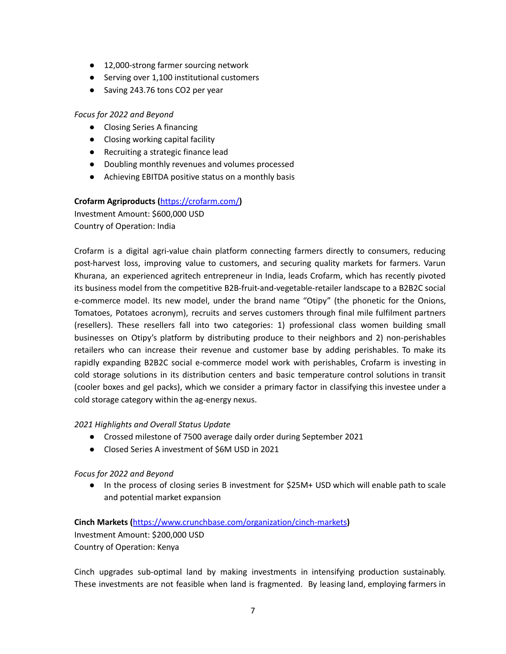- 12,000-strong farmer sourcing network
- Serving over 1,100 institutional customers
- Saving 243.76 tons CO2 per year

#### *Focus for 2022 and Beyond*

- Closing Series A financing
- Closing working capital facility
- Recruiting a strategic finance lead
- Doubling monthly revenues and volumes processed
- Achieving EBITDA positive status on a monthly basis

# **Crofarm Agriproducts (**https://crofarm.com/**)**

Investment Amount: \$600,000 USD Country of Operation: India

Crofarm is a digital agri-value chain platform connecting farmers directly to consumers, reducing post-harvest loss, improving value to customers, and securing quality markets for farmers. Varun Khurana, an experienced agritech entrepreneur in India, leads Crofarm, which has recently pivoted its business model from the competitive B2B-fruit-and-vegetable-retailer landscape to a B2B2C social e-commerce model. Its new model, under the brand name "Otipy" (the phonetic for the Onions, Tomatoes, Potatoes acronym), recruits and serves customers through final mile fulfilment partners (resellers). These resellers fall into two categories: 1) professional class women building small businesses on Otipy's platform by distributing produce to their neighbors and 2) non-perishables retailers who can increase their revenue and customer base by adding perishables. To make its rapidly expanding B2B2C social e-commerce model work with perishables, Crofarm is investing in cold storage solutions in its distribution centers and basic temperature control solutions in transit (cooler boxes and gel packs), which we consider a primary factor in classifying this investee under a cold storage category within the ag-energy nexus.

#### *2021 Highlights and Overall Status Update*

- Crossed milestone of 7500 average daily order during September 2021
- Closed Series A investment of \$6M USD in 2021

#### *Focus for 2022 and Beyond*

● In the process of closing series B investment for \$25M+ USD which will enable path to scale and potential market expansion

**Cinch Markets (**https://www.crunchbase.com/organization/cinch-markets**)** Investment Amount: \$200,000 USD Country of Operation: Kenya

Cinch upgrades sub-optimal land by making investments in intensifying production sustainably. These investments are not feasible when land is fragmented. By leasing land, employing farmers in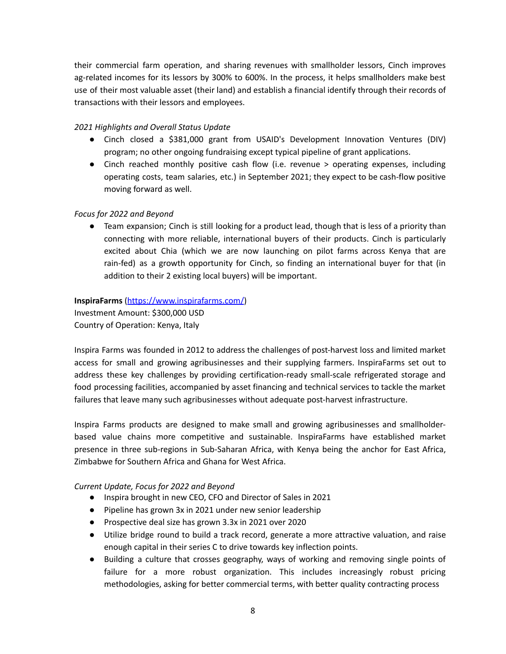their commercial farm operation, and sharing revenues with smallholder lessors, Cinch improves ag-related incomes for its lessors by 300% to 600%. In the process, it helps smallholders make best use of their most valuable asset (their land) and establish a financial identify through their records of transactions with their lessors and employees.

# *2021 Highlights and Overall Status Update*

- Cinch closed a \$381,000 grant from USAID's Development Innovation Ventures (DIV) program; no other ongoing fundraising except typical pipeline of grant applications.
- Cinch reached monthly positive cash flow (i.e. revenue > operating expenses, including operating costs, team salaries, etc.) in September 2021; they expect to be cash-flow positive moving forward as well.

#### *Focus for 2022 and Beyond*

● Team expansion; Cinch is still looking for a product lead, though that is less of a priority than connecting with more reliable, international buyers of their products. Cinch is particularly excited about Chia (which we are now launching on pilot farms across Kenya that are rain-fed) as a growth opportunity for Cinch, so finding an international buyer for that (in addition to their 2 existing local buyers) will be important.

#### **InspiraFarms** [\(https://www.inspirafarms.com/](https://www.inspirafarms.com/))

Investment Amount: \$300,000 USD Country of Operation: Kenya, Italy

Inspira Farms was founded in 2012 to address the challenges of post-harvest loss and limited market access for small and growing agribusinesses and their supplying farmers. InspiraFarms set out to address these key challenges by providing certification-ready small-scale refrigerated storage and food processing facilities, accompanied by asset financing and technical services to tackle the market failures that leave many such agribusinesses without adequate post-harvest infrastructure.

Inspira Farms products are designed to make small and growing agribusinesses and smallholderbased value chains more competitive and sustainable. InspiraFarms have established market presence in three sub-regions in Sub-Saharan Africa, with Kenya being the anchor for East Africa, Zimbabwe for Southern Africa and Ghana for West Africa.

# *Current Update, Focus for 2022 and Beyond*

- Inspira brought in new CEO, CFO and Director of Sales in 2021
- Pipeline has grown 3x in 2021 under new senior leadership
- Prospective deal size has grown 3.3x in 2021 over 2020
- Utilize bridge round to build a track record, generate a more attractive valuation, and raise enough capital in their series C to drive towards key inflection points.
- Building a culture that crosses geography, ways of working and removing single points of failure for a more robust organization. This includes increasingly robust pricing methodologies, asking for better commercial terms, with better quality contracting process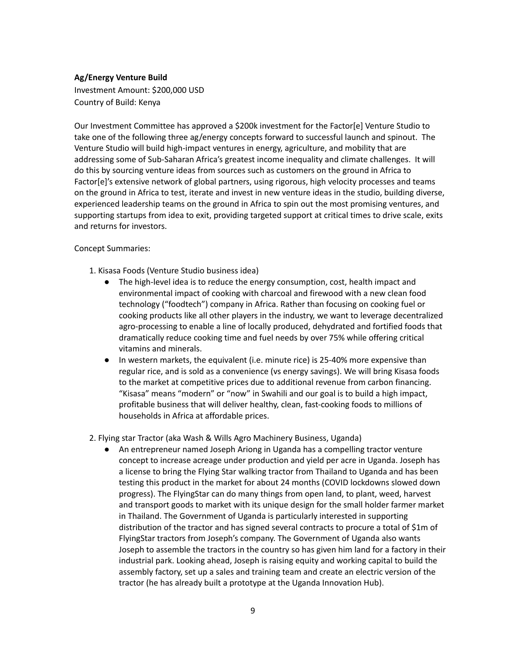#### **Ag/Energy Venture Build**

Investment Amount: \$200,000 USD Country of Build: Kenya

Our Investment Committee has approved a \$200k investment for the Factor[e] Venture Studio to take one of the following three ag/energy concepts forward to successful launch and spinout. The Venture Studio will build high-impact ventures in energy, agriculture, and mobility that are addressing some of Sub-Saharan Africa's greatest income inequality and climate challenges. It will do this by sourcing venture ideas from sources such as customers on the ground in Africa to Factor[e]'s extensive network of global partners, using rigorous, high velocity processes and teams on the ground in Africa to test, iterate and invest in new venture ideas in the studio, building diverse, experienced leadership teams on the ground in Africa to spin out the most promising ventures, and supporting startups from idea to exit, providing targeted support at critical times to drive scale, exits and returns for investors.

#### Concept Summaries:

- 1. Kisasa Foods (Venture Studio business idea)
	- The high-level idea is to reduce the energy consumption, cost, health impact and environmental impact of cooking with charcoal and firewood with a new clean food technology ("foodtech") company in Africa. Rather than focusing on cooking fuel or cooking products like all other players in the industry, we want to leverage decentralized agro-processing to enable a line of locally produced, dehydrated and fortified foods that dramatically reduce cooking time and fuel needs by over 75% while offering critical vitamins and minerals.
	- In western markets, the equivalent (i.e. minute rice) is 25-40% more expensive than regular rice, and is sold as a convenience (vs energy savings). We will bring Kisasa foods to the market at competitive prices due to additional revenue from carbon financing. "Kisasa" means "modern" or "now" in Swahili and our goal is to build a high impact, profitable business that will deliver healthy, clean, fast-cooking foods to millions of households in Africa at affordable prices.

2. Flying star Tractor (aka Wash & Wills Agro Machinery Business, Uganda)

● An entrepreneur named Joseph Ariong in Uganda has a compelling tractor venture concept to increase acreage under production and yield per acre in Uganda. Joseph has a license to bring the Flying Star walking tractor from Thailand to Uganda and has been testing this product in the market for about 24 months (COVID lockdowns slowed down progress). The FlyingStar can do many things from open land, to plant, weed, harvest and transport goods to market with its unique design for the small holder farmer market in Thailand. The Government of Uganda is particularly interested in supporting distribution of the tractor and has signed several contracts to procure a total of \$1m of FlyingStar tractors from Joseph's company. The Government of Uganda also wants Joseph to assemble the tractors in the country so has given him land for a factory in their industrial park. Looking ahead, Joseph is raising equity and working capital to build the assembly factory, set up a sales and training team and create an electric version of the tractor (he has already built a prototype at the Uganda Innovation Hub).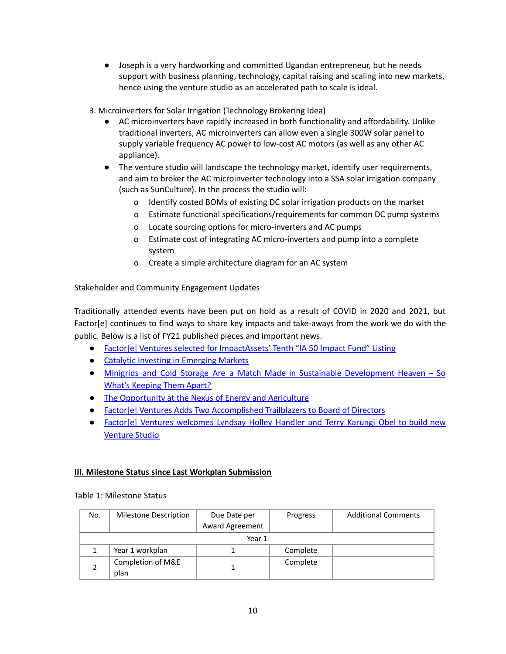● Joseph is a very hardworking and committed Ugandan entrepreneur, but he needs support with business planning, technology, capital raising and scaling into new markets, hence using the venture studio as an accelerated path to scale is ideal.

3. Microinverters for Solar Irrigation (Technology Brokering Idea)

- AC microinverters have rapidly increased in both functionality and affordability. Unlike traditional inverters, AC microinverters can allow even a single 300W solar panel to supply variable frequency AC power to low-cost AC motors (as well as any other AC appliance).
- The venture studio will landscape the technology market, identify user requirements, and aim to broker the AC microinverter technology into a SSA solar irrigation company (such as SunCulture). In the process the studio will:
	- o Identify costed BOMs of existing DC solar irrigation products on the market
	- o Estimate functional specifications/requirements for common DC pump systems
	- o Locate sourcing options for micro-inverters and AC pumps
	- o Estimate cost of integrating AC micro-inverters and pump into a complete system
	- o Create a simple architecture diagram for an AC system

# Stakeholder and Community Engagement Updates

Traditionally attended events have been put on hold as a result of COVID in 2020 and 2021, but Factor[e] continues to find ways to share key impacts and take-aways from the work we do with the public. Below is a list of FY21 published pieces and important news.

- Factor[e] Ventures selected for [ImpactAssets'](https://www.factore.com/factor-e-ventures-selected-for-impactassets-tenth-ia-50-impact-fund-listing) Tenth "IA 50 Impact Fund" Listing
- Catalytic Investing in [Emerging](https://www.factore.com/catalytic-investing-emerging-markets) Markets
- Minigrids and Cold Storage Are a Match Made in Sustainable [Development](https://nextbillion.net/minigrids-cold-storage-sustainable-development/) Heaven So What's [Keeping](https://nextbillion.net/minigrids-cold-storage-sustainable-development/) Them Apart?
- The [Opportunity](https://www.factore.com/ag-energy-nexus-report) at the Nexus of Energy and Agriculture
- Factor[e] Ventures Adds Two [Accomplished](https://www.prnewswire.com/news-releases/factore-ventures-adds-two-accomplished-trailblazers-to-board-of-directors-301266963.html) Trailblazers to Board of Directors
- Factor[e] Ventures [welcomes](https://www.einnews.com/pr_news/557294813/factor-e-ventures-welcomes-lyndsay-holley-handler-and-terry-karungi-obel-to-build-new-venture-studio) Lyndsay Holley Handler and Terry Karungi Obel to build new [Venture](https://www.einnews.com/pr_news/557294813/factor-e-ventures-welcomes-lyndsay-holley-handler-and-terry-karungi-obel-to-build-new-venture-studio) Studio

# **III. Milestone Status since Last Workplan Submission**

#### Table 1: Milestone Status

| No. | Milestone Description     | Due Date per    | Progress | <b>Additional Comments</b> |
|-----|---------------------------|-----------------|----------|----------------------------|
|     |                           | Award Agreement |          |                            |
|     |                           | Year 1          |          |                            |
|     | Year 1 workplan           |                 | Complete |                            |
|     | Completion of M&E<br>plan |                 | Complete |                            |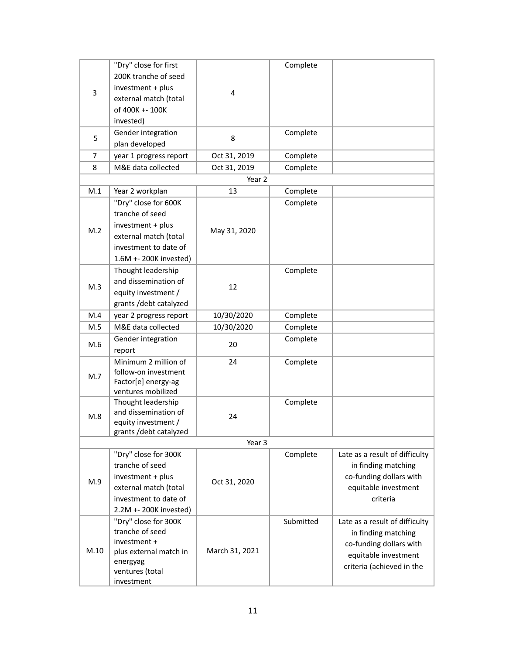|                | "Dry" close for first          |                | Complete  |                                |
|----------------|--------------------------------|----------------|-----------|--------------------------------|
|                | 200K tranche of seed           |                |           |                                |
|                | investment + plus              |                |           |                                |
| 3              | external match (total          | 4              |           |                                |
|                | of 400K +- 100K                |                |           |                                |
|                | invested)                      |                |           |                                |
|                | Gender integration             |                | Complete  |                                |
| 5              |                                | 8              |           |                                |
|                | plan developed                 |                |           |                                |
| $\overline{7}$ | year 1 progress report         | Oct 31, 2019   | Complete  |                                |
| 8              | M&E data collected             | Oct 31, 2019   | Complete  |                                |
|                |                                | Year 2         |           |                                |
| M.1            | Year 2 workplan                | 13             | Complete  |                                |
|                | "Dry" close for 600K           |                | Complete  |                                |
|                | tranche of seed                |                |           |                                |
|                | investment + plus              |                |           |                                |
| M.2            | external match (total          | May 31, 2020   |           |                                |
|                | investment to date of          |                |           |                                |
|                | 1.6M +- 200K invested)         |                |           |                                |
|                | Thought leadership             |                | Complete  |                                |
|                | and dissemination of           |                |           |                                |
| M.3            | equity investment /            | 12             |           |                                |
|                | grants /debt catalyzed         |                |           |                                |
| M.4            | year 2 progress report         | 10/30/2020     | Complete  |                                |
| M.5            | M&E data collected             | 10/30/2020     | Complete  |                                |
|                |                                |                | Complete  |                                |
| M.6            | Gender integration             | 20             |           |                                |
|                | report<br>Minimum 2 million of |                |           |                                |
|                | follow-on investment           | 24             | Complete  |                                |
| M.7            | Factor[e] energy-ag            |                |           |                                |
|                | ventures mobilized             |                |           |                                |
|                | Thought leadership             |                | Complete  |                                |
|                | and dissemination of           |                |           |                                |
| M.8            | equity investment /            | 24             |           |                                |
|                | grants /debt catalyzed         |                |           |                                |
|                |                                | Year 3         |           |                                |
|                | "Dry" close for 300K           |                | Complete  | Late as a result of difficulty |
|                | tranche of seed                |                |           | in finding matching            |
|                | investment + plus              |                |           | co-funding dollars with        |
| M.9            | external match (total          | Oct 31, 2020   |           | equitable investment           |
|                | investment to date of          |                |           | criteria                       |
|                | 2.2M +- 200K invested)         |                |           |                                |
|                | "Dry" close for 300K           |                | Submitted | Late as a result of difficulty |
|                | tranche of seed                |                |           | in finding matching            |
|                | investment +                   |                |           | co-funding dollars with        |
| M.10           | plus external match in         | March 31, 2021 |           | equitable investment           |
|                | energyag                       |                |           | criteria (achieved in the      |
|                | ventures (total                |                |           |                                |
|                | investment                     |                |           |                                |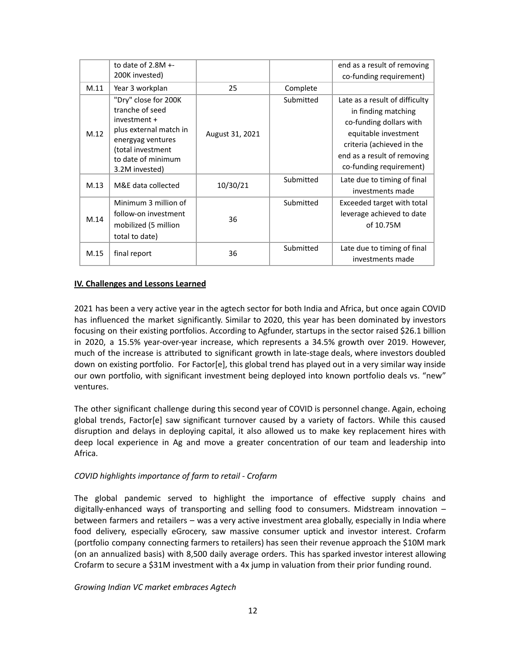|      | to date of $2.8M + -$                                                                                                                                               |                 |           | end as a result of removing                                                                                                                                                                     |
|------|---------------------------------------------------------------------------------------------------------------------------------------------------------------------|-----------------|-----------|-------------------------------------------------------------------------------------------------------------------------------------------------------------------------------------------------|
|      | 200K invested)                                                                                                                                                      |                 |           | co-funding requirement)                                                                                                                                                                         |
| M.11 | Year 3 workplan                                                                                                                                                     | 25              | Complete  |                                                                                                                                                                                                 |
| M.12 | "Dry" close for 200K<br>tranche of seed<br>investment +<br>plus external match in<br>energyag ventures<br>(total investment<br>to date of minimum<br>3.2M invested) | August 31, 2021 | Submitted | Late as a result of difficulty<br>in finding matching<br>co-funding dollars with<br>equitable investment<br>criteria (achieved in the<br>end as a result of removing<br>co-funding requirement) |
| M.13 | M&E data collected                                                                                                                                                  | 10/30/21        | Submitted | Late due to timing of final<br>investments made                                                                                                                                                 |
| M.14 | Minimum 3 million of<br>follow-on investment<br>mobilized (5 million<br>total to date)                                                                              | 36              | Submitted | Exceeded target with total<br>leverage achieved to date<br>of 10.75M                                                                                                                            |
| M.15 | final report                                                                                                                                                        | 36              | Submitted | Late due to timing of final<br>investments made                                                                                                                                                 |

#### **IV. Challenges and Lessons Learned**

2021 has been a very active year in the agtech sector for both India and Africa, but once again COVID has influenced the market significantly. Similar to 2020, this year has been dominated by investors focusing on their existing portfolios. According to Agfunder, startups in the sector raised \$26.1 billion in 2020, a 15.5% year-over-year increase, which represents a 34.5% growth over 2019. However, much of the increase is attributed to significant growth in late-stage deals, where investors doubled down on existing portfolio. For Factor[e], this global trend has played out in a very similar way inside our own portfolio, with significant investment being deployed into known portfolio deals vs. "new" ventures.

The other significant challenge during this second year of COVID is personnel change. Again, echoing global trends, Factor[e] saw significant turnover caused by a variety of factors. While this caused disruption and delays in deploying capital, it also allowed us to make key replacement hires with deep local experience in Ag and move a greater concentration of our team and leadership into Africa.

#### *COVID highlights importance of farm to retail - Crofarm*

The global pandemic served to highlight the importance of effective supply chains and digitally-enhanced ways of transporting and selling food to consumers. Midstream innovation – between farmers and retailers – was a very active investment area globally, especially in India where food delivery, especially eGrocery, saw massive consumer uptick and investor interest. Crofarm (portfolio company connecting farmers to retailers) has seen their revenue approach the \$10M mark (on an annualized basis) with 8,500 daily average orders. This has sparked investor interest allowing Crofarm to secure a \$31M investment with a 4x jump in valuation from their prior funding round.

#### *Growing Indian VC market embraces Agtech*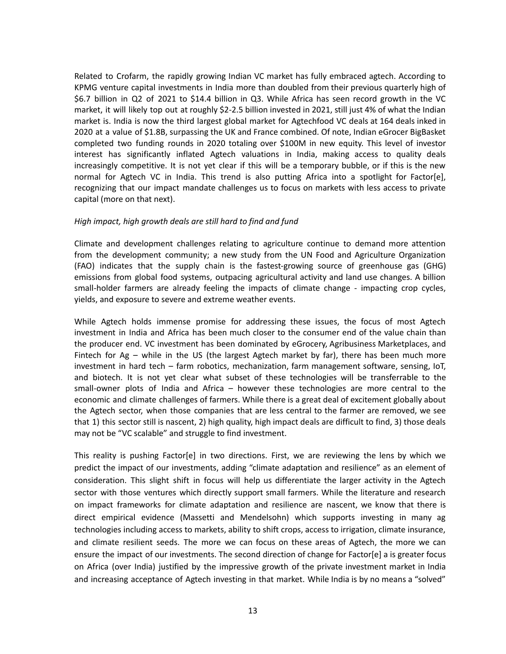Related to Crofarm, the rapidly growing Indian VC market has fully embraced agtech. According to KPMG venture capital investments in India more than doubled from their previous quarterly high of \$6.7 billion in Q2 of 2021 to \$14.4 billion in Q3. While Africa has seen record growth in the VC market, it will likely top out at roughly \$2-2.5 billion invested in 2021, still just 4% of what the Indian market is. India is now the third largest global market for Agtechfood VC deals at 164 deals inked in 2020 at a value of \$1.8B, surpassing the UK and France combined. Of note, Indian eGrocer BigBasket completed two funding rounds in 2020 totaling over \$100M in new equity. This level of investor interest has significantly inflated Agtech valuations in India, making access to quality deals increasingly competitive. It is not yet clear if this will be a temporary bubble, or if this is the new normal for Agtech VC in India. This trend is also putting Africa into a spotlight for Factor[e], recognizing that our impact mandate challenges us to focus on markets with less access to private capital (more on that next).

#### *High impact, high growth deals are still hard to find and fund*

Climate and development challenges relating to agriculture continue to demand more attention from the development community; a new study from the UN Food and Agriculture Organization (FAO) indicates that the supply chain is the fastest-growing source of greenhouse gas (GHG) emissions from global food systems, outpacing agricultural activity and land use changes. A billion small-holder farmers are already feeling the impacts of climate change - impacting crop cycles, yields, and exposure to severe and extreme weather events.

While Agtech holds immense promise for addressing these issues, the focus of most Agtech investment in India and Africa has been much closer to the consumer end of the value chain than the producer end. VC investment has been dominated by eGrocery, Agribusiness Marketplaces, and Fintech for Ag – while in the US (the largest Agtech market by far), there has been much more investment in hard tech – farm robotics, mechanization, farm management software, sensing, IoT, and biotech. It is not yet clear what subset of these technologies will be transferrable to the small-owner plots of India and Africa – however these technologies are more central to the economic and climate challenges of farmers. While there is a great deal of excitement globally about the Agtech sector, when those companies that are less central to the farmer are removed, we see that 1) this sector still is nascent, 2) high quality, high impact deals are difficult to find, 3) those deals may not be "VC scalable" and struggle to find investment.

This reality is pushing Factor[e] in two directions. First, we are reviewing the lens by which we predict the impact of our investments, adding "climate adaptation and resilience" as an element of consideration. This slight shift in focus will help us differentiate the larger activity in the Agtech sector with those ventures which directly support small farmers. While the literature and research on impact frameworks for climate adaptation and resilience are nascent, we know that there is direct empirical evidence (Massetti and Mendelsohn) which supports investing in many ag technologies including access to markets, ability to shift crops, access to irrigation, climate insurance, and climate resilient seeds. The more we can focus on these areas of Agtech, the more we can ensure the impact of our investments. The second direction of change for Factor[e] a is greater focus on Africa (over India) justified by the impressive growth of the private investment market in India and increasing acceptance of Agtech investing in that market. While India is by no means a "solved"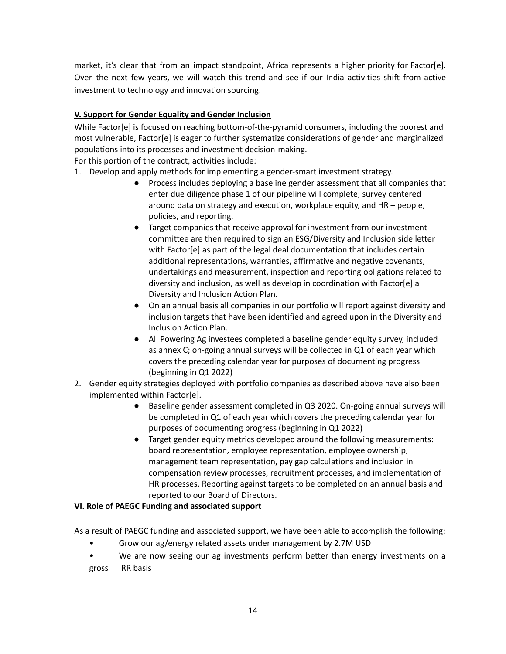market, it's clear that from an impact standpoint, Africa represents a higher priority for Factor[e]. Over the next few years, we will watch this trend and see if our India activities shift from active investment to technology and innovation sourcing.

# **V. Support for Gender Equality and Gender Inclusion**

While Factor[e] is focused on reaching bottom-of-the-pyramid consumers, including the poorest and most vulnerable, Factor[e] is eager to further systematize considerations of gender and marginalized populations into its processes and investment decision-making.

For this portion of the contract, activities include:

- 1. Develop and apply methods for implementing a gender-smart investment strategy.
	- Process includes deploying a baseline gender assessment that all companies that enter due diligence phase 1 of our pipeline will complete; survey centered around data on strategy and execution, workplace equity, and HR – people, policies, and reporting.
	- Target companies that receive approval for investment from our investment committee are then required to sign an ESG/Diversity and Inclusion side letter with Factor[e] as part of the legal deal documentation that includes certain additional representations, warranties, affirmative and negative covenants, undertakings and measurement, inspection and reporting obligations related to diversity and inclusion, as well as develop in coordination with Factor[e] a Diversity and Inclusion Action Plan.
	- On an annual basis all companies in our portfolio will report against diversity and inclusion targets that have been identified and agreed upon in the Diversity and Inclusion Action Plan.
	- All Powering Ag investees completed a baseline gender equity survey, included as annex C; on-going annual surveys will be collected in Q1 of each year which covers the preceding calendar year for purposes of documenting progress (beginning in Q1 2022)
- 2. Gender equity strategies deployed with portfolio companies as described above have also been implemented within Factor[e].
	- Baseline gender assessment completed in Q3 2020. On-going annual surveys will be completed in Q1 of each year which covers the preceding calendar year for purposes of documenting progress (beginning in Q1 2022)
	- Target gender equity metrics developed around the following measurements: board representation, employee representation, employee ownership, management team representation, pay gap calculations and inclusion in compensation review processes, recruitment processes, and implementation of HR processes. Reporting against targets to be completed on an annual basis and reported to our Board of Directors.

# **VI. Role of PAEGC Funding and associated support**

As a result of PAEGC funding and associated support, we have been able to accomplish the following:

- Grow our ag/energy related assets under management by 2.7M USD
- We are now seeing our ag investments perform better than energy investments on a gross IRR basis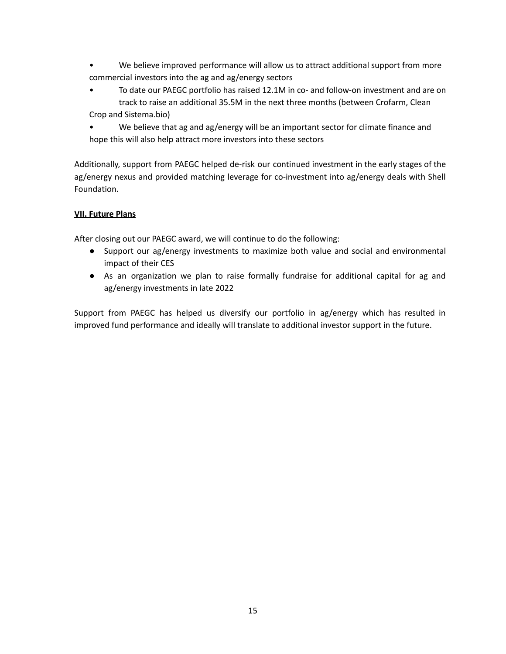- We believe improved performance will allow us to attract additional support from more commercial investors into the ag and ag/energy sectors
- To date our PAEGC portfolio has raised 12.1M in co- and follow-on investment and are on track to raise an additional 35.5M in the next three months (between Crofarm, Clean Crop and Sistema.bio)
- We believe that ag and ag/energy will be an important sector for climate finance and hope this will also help attract more investors into these sectors

Additionally, support from PAEGC helped de-risk our continued investment in the early stages of the ag/energy nexus and provided matching leverage for co-investment into ag/energy deals with Shell Foundation.

# **VII. Future Plans**

After closing out our PAEGC award, we will continue to do the following:

- Support our ag/energy investments to maximize both value and social and environmental impact of their CES
- As an organization we plan to raise formally fundraise for additional capital for ag and ag/energy investments in late 2022

Support from PAEGC has helped us diversify our portfolio in ag/energy which has resulted in improved fund performance and ideally will translate to additional investor support in the future.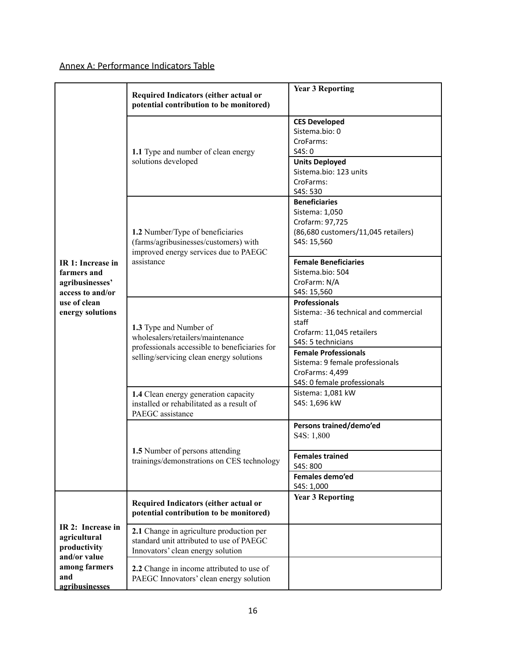# Annex A: Performance Indicators Table

|                                                        | Required Indicators (either actual or<br>potential contribution to be monitored)                                                                         | <b>Year 3 Reporting</b>                                                                                                                                                                                                                                      |
|--------------------------------------------------------|----------------------------------------------------------------------------------------------------------------------------------------------------------|--------------------------------------------------------------------------------------------------------------------------------------------------------------------------------------------------------------------------------------------------------------|
| IR 1: Increase in<br>farmers and<br>agribusinesses'    | 1.1 Type and number of clean energy<br>solutions developed                                                                                               | <b>CES Developed</b><br>Sistema.bio: 0<br>CroFarms:<br>S4S: 0<br><b>Units Deployed</b><br>Sistema.bio: 123 units<br>CroFarms:<br>S4S: 530                                                                                                                    |
|                                                        | 1.2 Number/Type of beneficiaries<br>(farms/agribusinesses/customers) with<br>improved energy services due to PAEGC<br>assistance                         | <b>Beneficiaries</b><br>Sistema: 1,050<br>Crofarm: 97,725<br>(86,680 customers/11,045 retailers)<br>S4S: 15,560<br><b>Female Beneficiaries</b><br>Sistema.bio: 504<br>CroFarm: N/A                                                                           |
| access to and/or<br>use of clean<br>energy solutions   | 1.3 Type and Number of<br>wholesalers/retailers/maintenance<br>professionals accessible to beneficiaries for<br>selling/servicing clean energy solutions | S4S: 15,560<br><b>Professionals</b><br>Sistema: -36 technical and commercial<br>staff<br>Crofarm: 11,045 retailers<br>S4S: 5 technicians<br><b>Female Professionals</b><br>Sistema: 9 female professionals<br>CroFarms: 4,499<br>S4S: 0 female professionals |
|                                                        | 1.4 Clean energy generation capacity<br>installed or rehabilitated as a result of<br>PAEGC assistance                                                    | Sistema: 1,081 kW<br>S4S: 1,696 kW                                                                                                                                                                                                                           |
|                                                        | 1.5 Number of persons attending<br>trainings/demonstrations on CES technology                                                                            | Persons trained/demo'ed<br>S4S: 1,800<br><b>Females trained</b><br>S4S: 800<br>Females demo'ed<br>S4S: 1,000                                                                                                                                                 |
|                                                        | Required Indicators (either actual or<br>potential contribution to be monitored)                                                                         | <b>Year 3 Reporting</b>                                                                                                                                                                                                                                      |
| IR 2: Increase in<br>agricultural<br>productivity      | 2.1 Change in agriculture production per<br>standard unit attributed to use of PAEGC<br>Innovators' clean energy solution                                |                                                                                                                                                                                                                                                              |
| and/or value<br>among farmers<br>and<br>agribusinesses | 2.2 Change in income attributed to use of<br>PAEGC Innovators' clean energy solution                                                                     |                                                                                                                                                                                                                                                              |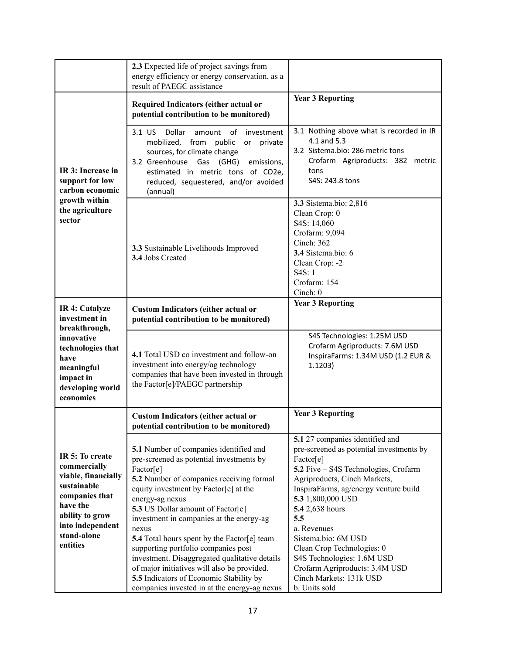|                                                                                                                                                                       | 2.3 Expected life of project savings from<br>energy efficiency or energy conservation, as a<br>result of PAEGC assistance                                                                                                                                                                                                                                                                                                                                                                                                                                                                 |                                                                                                                                                                                                                                                                                                                                                                                                                                          |
|-----------------------------------------------------------------------------------------------------------------------------------------------------------------------|-------------------------------------------------------------------------------------------------------------------------------------------------------------------------------------------------------------------------------------------------------------------------------------------------------------------------------------------------------------------------------------------------------------------------------------------------------------------------------------------------------------------------------------------------------------------------------------------|------------------------------------------------------------------------------------------------------------------------------------------------------------------------------------------------------------------------------------------------------------------------------------------------------------------------------------------------------------------------------------------------------------------------------------------|
|                                                                                                                                                                       | Required Indicators (either actual or<br>potential contribution to be monitored)                                                                                                                                                                                                                                                                                                                                                                                                                                                                                                          | <b>Year 3 Reporting</b>                                                                                                                                                                                                                                                                                                                                                                                                                  |
| IR 3: Increase in<br>support for low<br>carbon economic<br>growth within<br>the agriculture<br>sector                                                                 | 3.1 US<br>Dollar<br>of<br>investment<br>amount<br>mobilized, from<br>public<br>private<br>or<br>sources, for climate change<br>3.2 Greenhouse Gas (GHG)<br>emissions,<br>estimated in metric tons of CO2e,<br>reduced, sequestered, and/or avoided<br>(annual)                                                                                                                                                                                                                                                                                                                            | 3.1 Nothing above what is recorded in IR<br>4.1 and 5.3<br>3.2 Sistema.bio: 286 metric tons<br>Crofarm Agriproducts: 382 metric<br>tons<br>S4S: 243.8 tons                                                                                                                                                                                                                                                                               |
|                                                                                                                                                                       | 3.3 Sustainable Livelihoods Improved<br>3.4 Jobs Created                                                                                                                                                                                                                                                                                                                                                                                                                                                                                                                                  | 3.3 Sistema.bio: 2,816<br>Clean Crop: 0<br>S4S: 14,060<br>Crofarm: 9,094<br>Cinch: 362<br>3.4 Sistema.bio: 6<br>Clean Crop: -2<br>S4S: 1<br>Crofarm: 154<br>Cinch: $0$                                                                                                                                                                                                                                                                   |
| IR 4: Catalyze<br>investment in<br>breakthrough,                                                                                                                      | <b>Custom Indicators (either actual or</b><br>potential contribution to be monitored)                                                                                                                                                                                                                                                                                                                                                                                                                                                                                                     | <b>Year 3 Reporting</b>                                                                                                                                                                                                                                                                                                                                                                                                                  |
| innovative<br>technologies that<br>have<br>meaningful<br>impact in<br>developing world<br>economies                                                                   | 4.1 Total USD co investment and follow-on<br>investment into energy/ag technology<br>companies that have been invested in through<br>the Factor[e]/PAEGC partnership                                                                                                                                                                                                                                                                                                                                                                                                                      | S4S Technologies: 1.25M USD<br>Crofarm Agriproducts: 7.6M USD<br>InspiraFarms: 1.34M USD (1.2 EUR &<br>1.1203)                                                                                                                                                                                                                                                                                                                           |
|                                                                                                                                                                       | <b>Custom Indicators (either actual or</b><br>potential contribution to be monitored)                                                                                                                                                                                                                                                                                                                                                                                                                                                                                                     | <b>Year 3 Reporting</b>                                                                                                                                                                                                                                                                                                                                                                                                                  |
| IR 5: To create<br>commercially<br>viable, financially<br>sustainable<br>companies that<br>have the<br>ability to grow<br>into independent<br>stand-alone<br>entities | 5.1 Number of companies identified and<br>pre-screened as potential investments by<br>Factor[e]<br>5.2 Number of companies receiving formal<br>equity investment by Factor[e] at the<br>energy-ag nexus<br>5.3 US Dollar amount of Factor[e]<br>investment in companies at the energy-ag<br>nexus<br><b>5.4</b> Total hours spent by the Factor[e] team<br>supporting portfolio companies post<br>investment. Disaggregated qualitative details<br>of major initiatives will also be provided.<br>5.5 Indicators of Economic Stability by<br>companies invested in at the energy-ag nexus | 5.1 27 companies identified and<br>pre-screened as potential investments by<br>Factor[e]<br>5.2 Five - S4S Technologies, Crofarm<br>Agriproducts, Cinch Markets,<br>InspiraFarms, ag/energy venture build<br>5.3 1,800,000 USD<br>5.4 2,638 hours<br>5.5<br>a. Revenues<br>Sistema.bio: 6M USD<br>Clean Crop Technologies: 0<br>S4S Technologies: 1.6M USD<br>Crofarm Agriproducts: 3.4M USD<br>Cinch Markets: 131k USD<br>b. Units sold |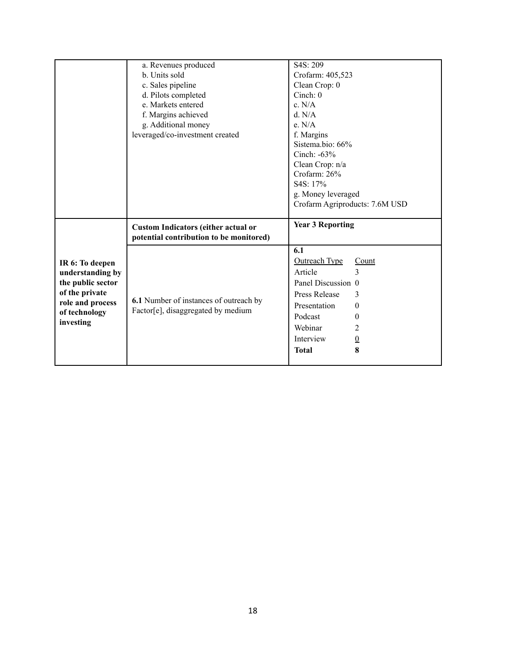|                                     | a. Revenues produced                                                                  | S4S: 209                                             |  |  |
|-------------------------------------|---------------------------------------------------------------------------------------|------------------------------------------------------|--|--|
|                                     | b. Units sold                                                                         | Crofarm: 405,523                                     |  |  |
|                                     | c. Sales pipeline                                                                     | Clean Crop: 0                                        |  |  |
|                                     | d. Pilots completed                                                                   | Cinch: $0$                                           |  |  |
|                                     | e. Markets entered                                                                    | c. N/A                                               |  |  |
|                                     | f. Margins achieved                                                                   | d. N/A                                               |  |  |
|                                     | g. Additional money                                                                   | e. N/A                                               |  |  |
|                                     | leveraged/co-investment created                                                       | f. Margins                                           |  |  |
|                                     |                                                                                       | Sistema.bio: 66%                                     |  |  |
|                                     |                                                                                       | Cinch: $-63\%$                                       |  |  |
|                                     |                                                                                       | Clean Crop: n/a                                      |  |  |
|                                     |                                                                                       | Crofarm: 26%                                         |  |  |
|                                     |                                                                                       | S4S: 17%                                             |  |  |
|                                     |                                                                                       | g. Money leveraged<br>Crofarm Agriproducts: 7.6M USD |  |  |
|                                     |                                                                                       |                                                      |  |  |
|                                     |                                                                                       |                                                      |  |  |
|                                     |                                                                                       | <b>Year 3 Reporting</b>                              |  |  |
|                                     | <b>Custom Indicators (either actual or</b><br>potential contribution to be monitored) |                                                      |  |  |
|                                     |                                                                                       | 6.1                                                  |  |  |
|                                     |                                                                                       | <b>Outreach Type</b><br>Count                        |  |  |
| IR 6: To deepen<br>understanding by |                                                                                       | 3<br>Article                                         |  |  |
| the public sector                   |                                                                                       | Panel Discussion 0                                   |  |  |
| of the private                      |                                                                                       | <b>Press Release</b><br>3                            |  |  |
| role and process                    | 6.1 Number of instances of outreach by                                                | Presentation<br>0                                    |  |  |
| of technology                       | Factor[e], disaggregated by medium                                                    | Podcast<br>$\boldsymbol{0}$                          |  |  |
| investing                           |                                                                                       | Webinar<br>2                                         |  |  |
|                                     |                                                                                       | Interview                                            |  |  |
|                                     |                                                                                       | $\Omega$<br>8<br><b>Total</b>                        |  |  |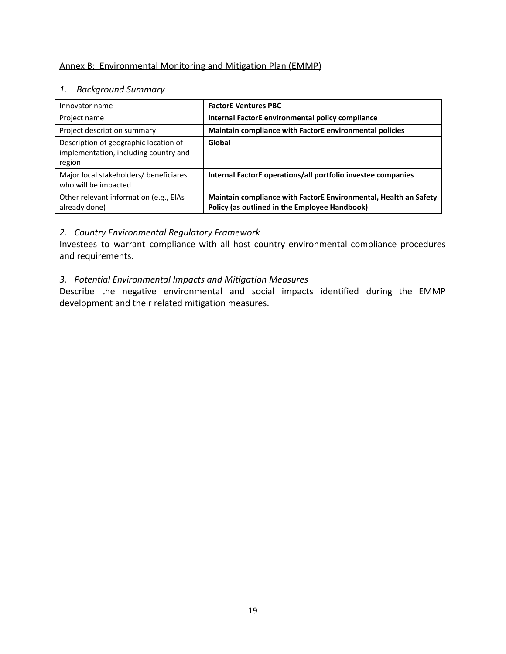# Annex B: Environmental Monitoring and Mitigation Plan (EMMP)

# *1. Background Summary*

| Innovator name                                                                           | <b>FactorE Ventures PBC</b>                                                                                       |
|------------------------------------------------------------------------------------------|-------------------------------------------------------------------------------------------------------------------|
| Project name                                                                             | Internal FactorE environmental policy compliance                                                                  |
| Project description summary                                                              | Maintain compliance with FactorE environmental policies                                                           |
| Description of geographic location of<br>implementation, including country and<br>region | Global                                                                                                            |
| Major local stakeholders/ beneficiares<br>who will be impacted                           | Internal FactorE operations/all portfolio investee companies                                                      |
| Other relevant information (e.g., EIAs<br>already done)                                  | Maintain compliance with FactorE Environmental, Health an Safety<br>Policy (as outlined in the Employee Handbook) |

# *2. Country Environmental Regulatory Framework*

Investees to warrant compliance with all host country environmental compliance procedures and requirements.

# *3. Potential Environmental Impacts and Mitigation Measures*

Describe the negative environmental and social impacts identified during the EMMP development and their related mitigation measures.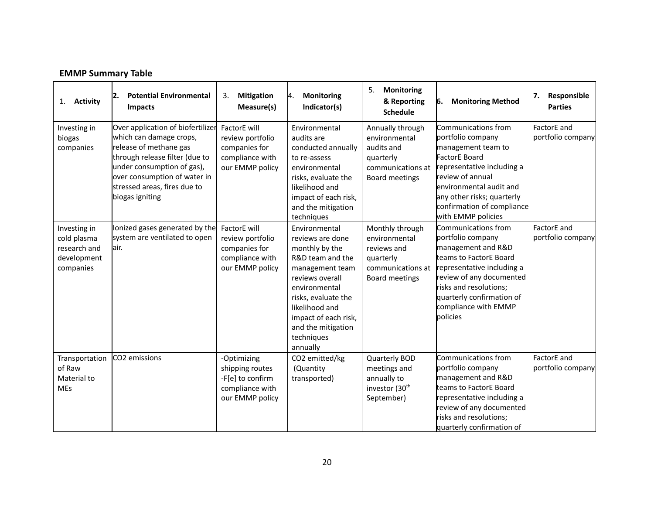|  | <b>EMMP Summary Table</b> |  |
|--|---------------------------|--|
|--|---------------------------|--|

| <b>Activity</b><br>1.                                                   | <b>Potential Environmental</b><br> 2.<br><b>Impacts</b>                                                                                                                                                                                   | 3.<br><b>Mitigation</b><br>Measure(s)                                                    | <b>Monitoring</b><br>И.<br>Indicator(s)                                                                                                                                                                                                         | <b>Monitoring</b><br>5.<br>& Reporting<br><b>Schedule</b>                                           | <b>Monitoring Method</b><br>6.                                                                                                                                                                                                                        | Responsible<br>17.<br><b>Parties</b> |
|-------------------------------------------------------------------------|-------------------------------------------------------------------------------------------------------------------------------------------------------------------------------------------------------------------------------------------|------------------------------------------------------------------------------------------|-------------------------------------------------------------------------------------------------------------------------------------------------------------------------------------------------------------------------------------------------|-----------------------------------------------------------------------------------------------------|-------------------------------------------------------------------------------------------------------------------------------------------------------------------------------------------------------------------------------------------------------|--------------------------------------|
| Investing in<br>biogas<br>companies                                     | Over application of biofertilizer<br>which can damage crops,<br>release of methane gas<br>through release filter (due to<br>under consumption of gas),<br>over consumption of water in<br>stressed areas, fires due to<br>biogas igniting | FactorE will<br>review portfolio<br>companies for<br>compliance with<br>our EMMP policy  | Environmental<br>audits are<br>conducted annually<br>to re-assess<br>environmental<br>risks, evaluate the<br>likelihood and<br>impact of each risk,<br>and the mitigation<br>techniques                                                         | Annually through<br>environmental<br>audits and<br>quarterly<br>communications at<br>Board meetings | Communications from<br>portfolio company<br>management team to<br><b>FactorE Board</b><br>representative including a<br>review of annual<br>environmental audit and<br>any other risks; quarterly<br>confirmation of compliance<br>with EMMP policies | FactorE and<br>portfolio company     |
| Investing in<br>cold plasma<br>research and<br>development<br>companies | lonized gases generated by the<br>system are ventilated to open<br>lair.                                                                                                                                                                  | FactorE will<br>review portfolio<br>companies for<br>compliance with<br>our EMMP policy  | Environmental<br>reviews are done<br>monthly by the<br>R&D team and the<br>management team<br>reviews overall<br>environmental<br>risks, evaluate the<br>likelihood and<br>impact of each risk,<br>and the mitigation<br>techniques<br>annually | Monthly through<br>environmental<br>reviews and<br>quarterly<br>communications at<br>Board meetings | Communications from<br>portfolio company<br>management and R&D<br>teams to FactorE Board<br>representative including a<br>review of any documented<br>risks and resolutions;<br>quarterly confirmation of<br>compliance with EMMP<br>policies         | FactorE and<br>portfolio company     |
| Transportation<br>of Raw<br>Material to<br><b>MEs</b>                   | CO2 emissions                                                                                                                                                                                                                             | -Optimizing<br>shipping routes<br>-F[e] to confirm<br>compliance with<br>our EMMP policy | CO2 emitted/kg<br>(Quantity<br>transported)                                                                                                                                                                                                     | Quarterly BOD<br>meetings and<br>annually to<br>investor (30 <sup>th</sup><br>September)            | Communications from<br>portfolio company<br>management and R&D<br>teams to FactorE Board<br>representative including a<br>review of any documented<br>risks and resolutions;<br>quarterly confirmation of                                             | FactorE and<br>portfolio company     |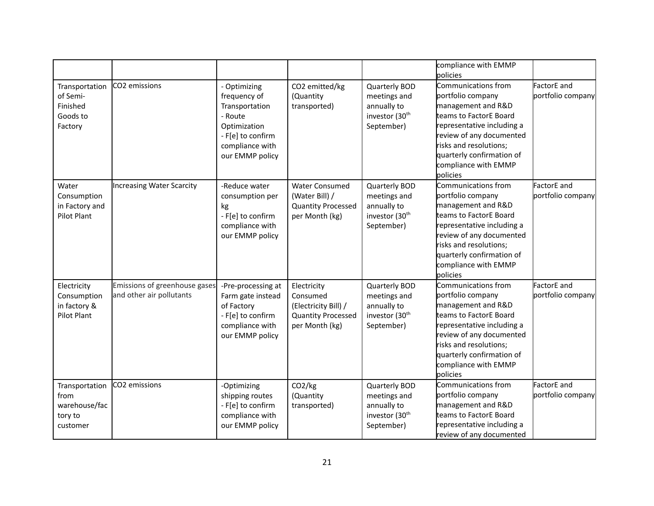|                                                                |                                                           |                                                                                                                                      |                                                                                                |                                                                                          | compliance with EMMP<br>policies                                                                                                                                                                                                              |                                  |
|----------------------------------------------------------------|-----------------------------------------------------------|--------------------------------------------------------------------------------------------------------------------------------------|------------------------------------------------------------------------------------------------|------------------------------------------------------------------------------------------|-----------------------------------------------------------------------------------------------------------------------------------------------------------------------------------------------------------------------------------------------|----------------------------------|
| Transportation<br>of Semi-<br>Finished<br>Goods to<br>Factory  | CO2 emissions                                             | - Optimizing<br>frequency of<br>Transportation<br>- Route<br>Optimization<br>- F[e] to confirm<br>compliance with<br>our EMMP policy | CO2 emitted/kg<br>(Quantity<br>transported)                                                    | Quarterly BOD<br>meetings and<br>annually to<br>investor (30 <sup>th</sup><br>September) | Communications from<br>portfolio company<br>management and R&D<br>teams to FactorE Board<br>representative including a<br>review of any documented<br>risks and resolutions;<br>quarterly confirmation of<br>compliance with EMMP<br>policies | FactorE and<br>portfolio company |
| Water<br>Consumption<br>in Factory and<br>Pilot Plant          | <b>Increasing Water Scarcity</b>                          | -Reduce water<br>consumption per<br>kg<br>- F[e] to confirm<br>compliance with<br>our EMMP policy                                    | <b>Water Consumed</b><br>(Water Bill) /<br><b>Quantity Processed</b><br>per Month (kg)         | Quarterly BOD<br>meetings and<br>annually to<br>investor (30 <sup>th</sup><br>September) | Communications from<br>portfolio company<br>management and R&D<br>teams to FactorE Board<br>representative including a<br>review of any documented<br>risks and resolutions;<br>quarterly confirmation of<br>compliance with EMMP<br>policies | FactorE and<br>portfolio company |
| Electricity<br>Consumption<br>in factory &<br>Pilot Plant      | Emissions of greenhouse gases<br>and other air pollutants | -Pre-processing at<br>Farm gate instead<br>of Factory<br>- F[e] to confirm<br>compliance with<br>our EMMP policy                     | Electricity<br>Consumed<br>(Electricity Bill) /<br><b>Quantity Processed</b><br>per Month (kg) | Quarterly BOD<br>meetings and<br>annually to<br>investor (30 <sup>th</sup><br>September) | Communications from<br>portfolio company<br>management and R&D<br>teams to FactorE Board<br>representative including a<br>review of any documented<br>risks and resolutions;<br>quarterly confirmation of<br>compliance with EMMP<br>policies | FactorE and<br>portfolio company |
| Transportation<br>from<br>warehouse/fac<br>tory to<br>customer | CO2 emissions                                             | -Optimizing<br>shipping routes<br>- F[e] to confirm<br>compliance with<br>our EMMP policy                                            | CO <sub>2</sub> /kg<br>(Quantity<br>transported)                                               | Quarterly BOD<br>meetings and<br>annually to<br>investor (30 <sup>th</sup><br>September) | Communications from<br>portfolio company<br>management and R&D<br>teams to FactorE Board<br>representative including a<br>review of any documented                                                                                            | FactorE and<br>portfolio company |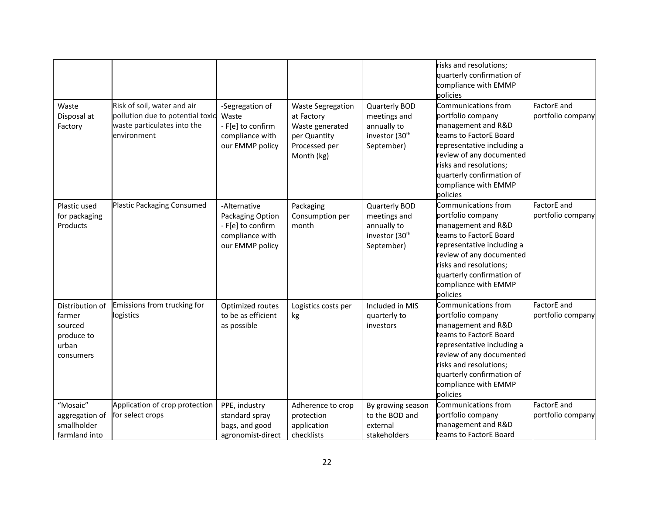|                                                                          |                                                                                                               |                                                                                             |                                                                                                          |                                                                                          | risks and resolutions;<br>quarterly confirmation of<br>compliance with EMMP<br>policies                                                                                                                                                       |                                  |
|--------------------------------------------------------------------------|---------------------------------------------------------------------------------------------------------------|---------------------------------------------------------------------------------------------|----------------------------------------------------------------------------------------------------------|------------------------------------------------------------------------------------------|-----------------------------------------------------------------------------------------------------------------------------------------------------------------------------------------------------------------------------------------------|----------------------------------|
| Waste<br>Disposal at<br>Factory                                          | Risk of soil, water and air<br>pollution due to potential toxic<br>waste particulates into the<br>environment | -Segregation of<br>Waste<br>- F[e] to confirm<br>compliance with<br>our EMMP policy         | <b>Waste Segregation</b><br>at Factory<br>Waste generated<br>per Quantity<br>Processed per<br>Month (kg) | Quarterly BOD<br>meetings and<br>annually to<br>investor (30 <sup>th</sup><br>September) | Communications from<br>portfolio company<br>management and R&D<br>teams to FactorE Board<br>representative including a<br>review of any documented<br>risks and resolutions;<br>quarterly confirmation of<br>compliance with EMMP<br>policies | FactorE and<br>portfolio company |
| Plastic used<br>for packaging<br>Products                                | Plastic Packaging Consumed                                                                                    | -Alternative<br>Packaging Option<br>- F[e] to confirm<br>compliance with<br>our EMMP policy | Packaging<br>Consumption per<br>month                                                                    | Quarterly BOD<br>meetings and<br>annually to<br>investor (30 <sup>th</sup><br>September) | Communications from<br>portfolio company<br>management and R&D<br>teams to FactorE Board<br>representative including a<br>review of any documented<br>risks and resolutions;<br>quarterly confirmation of<br>compliance with EMMP<br>policies | FactorE and<br>portfolio company |
| Distribution of<br>farmer<br>sourced<br>produce to<br>urban<br>consumers | Emissions from trucking for<br>logistics                                                                      | Optimized routes<br>to be as efficient<br>as possible                                       | Logistics costs per<br>kg                                                                                | Included in MIS<br>quarterly to<br>investors                                             | Communications from<br>portfolio company<br>management and R&D<br>teams to FactorE Board<br>representative including a<br>review of any documented<br>risks and resolutions;<br>quarterly confirmation of<br>compliance with EMMP<br>policies | FactorE and<br>portfolio company |
| "Mosaic"<br>aggregation of<br>smallholder<br>farmland into               | Application of crop protection<br>for select crops                                                            | PPE, industry<br>standard spray<br>bags, and good<br>agronomist-direct                      | Adherence to crop<br>protection<br>application<br>checklists                                             | By growing season<br>to the BOD and<br>external<br>stakeholders                          | Communications from<br>portfolio company<br>management and R&D<br>teams to FactorE Board                                                                                                                                                      | FactorE and<br>portfolio company |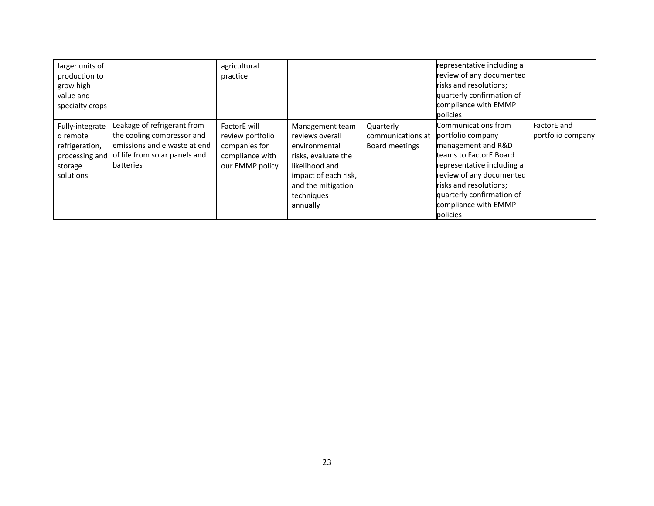| larger units of<br>production to<br>grow high<br>value and<br>specialty crops           |                                                                                                                                                  | agricultural<br>practice                                                                |                                                                                                                                                                      |                                                  | representative including a<br>review of any documented<br>risks and resolutions;<br>quarterly confirmation of<br>compliance with EMMP<br>policies                                                                                             |                                         |
|-----------------------------------------------------------------------------------------|--------------------------------------------------------------------------------------------------------------------------------------------------|-----------------------------------------------------------------------------------------|----------------------------------------------------------------------------------------------------------------------------------------------------------------------|--------------------------------------------------|-----------------------------------------------------------------------------------------------------------------------------------------------------------------------------------------------------------------------------------------------|-----------------------------------------|
| Fully-integrate<br>d remote<br>refrigeration,<br>processing and<br>storage<br>solutions | Leakage of refrigerant from<br>the cooling compressor and<br>lemissions and e waste at end<br>of life from solar panels and<br><b>Ibatteries</b> | FactorE will<br>review portfolio<br>companies for<br>compliance with<br>our EMMP policy | Management team<br>reviews overall<br>environmental<br>risks, evaluate the<br>likelihood and<br>impact of each risk,<br>and the mitigation<br>techniques<br>annually | Quarterly<br>communications at<br>Board meetings | Communications from<br>portfolio company<br>management and R&D<br>teams to FactorE Board<br>representative including a<br>review of any documented<br>risks and resolutions;<br>quarterly confirmation of<br>compliance with EMMP<br>policies | <b>FactorE</b> and<br>portfolio company |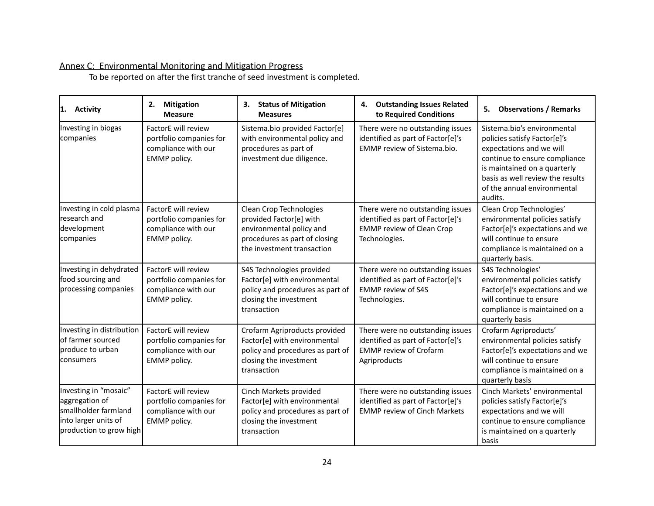# Annex C: Environmental Monitoring and Mitigation Progress

To be reported on after the first tranche of seed investment is completed.

| <b>Activity</b><br>11.                                                                                             | <b>Mitigation</b><br>2.<br><b>Measure</b>                                             | <b>Status of Mitigation</b><br>З.<br><b>Measures</b>                                                                                          | <b>Outstanding Issues Related</b><br>4.<br>to Required Conditions                                                          | <b>Observations / Remarks</b><br>5.                                                                                                                                                                                                    |
|--------------------------------------------------------------------------------------------------------------------|---------------------------------------------------------------------------------------|-----------------------------------------------------------------------------------------------------------------------------------------------|----------------------------------------------------------------------------------------------------------------------------|----------------------------------------------------------------------------------------------------------------------------------------------------------------------------------------------------------------------------------------|
| Investing in biogas<br>companies                                                                                   | FactorE will review<br>portfolio companies for<br>compliance with our<br>EMMP policy. | Sistema.bio provided Factor[e]<br>with environmental policy and<br>procedures as part of<br>investment due diligence.                         | There were no outstanding issues<br>identified as part of Factor[e]'s<br>EMMP review of Sistema.bio.                       | Sistema.bio's environmental<br>policies satisfy Factor[e]'s<br>expectations and we will<br>continue to ensure compliance<br>is maintained on a quarterly<br>basis as well review the results<br>of the annual environmental<br>audits. |
| Investing in cold plasma<br>research and<br>development<br>companies                                               | FactorE will review<br>portfolio companies for<br>compliance with our<br>EMMP policy. | Clean Crop Technologies<br>provided Factor[e] with<br>environmental policy and<br>procedures as part of closing<br>the investment transaction | There were no outstanding issues<br>identified as part of Factor[e]'s<br><b>EMMP review of Clean Crop</b><br>Technologies. | Clean Crop Technologies'<br>environmental policies satisfy<br>Factor[e]'s expectations and we<br>will continue to ensure<br>compliance is maintained on a<br>quarterly basis.                                                          |
| Investing in dehydrated<br>food sourcing and<br>processing companies                                               | FactorE will review<br>portfolio companies for<br>compliance with our<br>EMMP policy. | S4S Technologies provided<br>Factor[e] with environmental<br>policy and procedures as part of<br>closing the investment<br>transaction        | There were no outstanding issues<br>identified as part of Factor[e]'s<br><b>EMMP</b> review of S4S<br>Technologies.        | S4S Technologies'<br>environmental policies satisfy<br>Factor[e]'s expectations and we<br>will continue to ensure<br>compliance is maintained on a<br>quarterly basis                                                                  |
| Investing in distribution<br>of farmer sourced<br>produce to urban<br>consumers                                    | FactorE will review<br>portfolio companies for<br>compliance with our<br>EMMP policy. | Crofarm Agriproducts provided<br>Factor[e] with environmental<br>policy and procedures as part of<br>closing the investment<br>transaction    | There were no outstanding issues<br>identified as part of Factor[e]'s<br><b>EMMP</b> review of Crofarm<br>Agriproducts     | Crofarm Agriproducts'<br>environmental policies satisfy<br>Factor[e]'s expectations and we<br>will continue to ensure<br>compliance is maintained on a<br>quarterly basis                                                              |
| Investing in "mosaic"<br>aggregation of<br>smallholder farmland<br>into larger units of<br>production to grow high | FactorE will review<br>portfolio companies for<br>compliance with our<br>EMMP policy. | Cinch Markets provided<br>Factor[e] with environmental<br>policy and procedures as part of<br>closing the investment<br>transaction           | There were no outstanding issues<br>identified as part of Factor[e]'s<br><b>EMMP review of Cinch Markets</b>               | Cinch Markets' environmental<br>policies satisfy Factor[e]'s<br>expectations and we will<br>continue to ensure compliance<br>is maintained on a quarterly<br>basis                                                                     |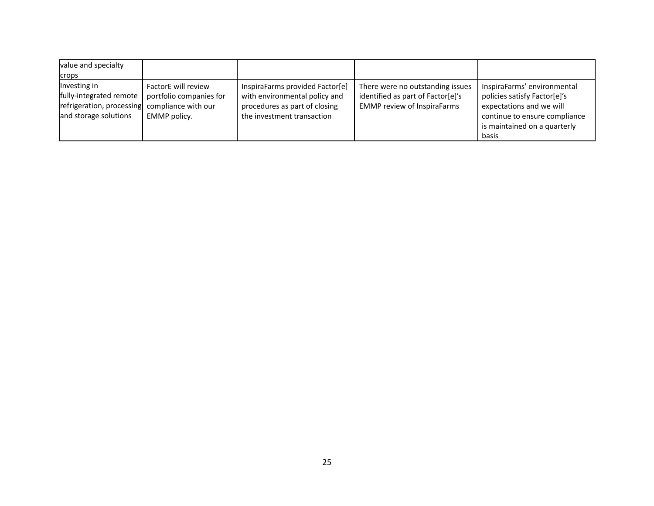| value and specialty<br>crops                                                                                      |                                                                |                                                                                                                                 |                                                                                                             |                                                                                                                                                                   |
|-------------------------------------------------------------------------------------------------------------------|----------------------------------------------------------------|---------------------------------------------------------------------------------------------------------------------------------|-------------------------------------------------------------------------------------------------------------|-------------------------------------------------------------------------------------------------------------------------------------------------------------------|
| Investing in<br>fully-integrated remote<br>refrigeration, processing compliance with our<br>and storage solutions | FactorE will review<br>portfolio companies for<br>EMMP policy. | InspiraFarms provided Factor[e]<br>with environmental policy and<br>procedures as part of closing<br>the investment transaction | There were no outstanding issues<br>identified as part of Factor[e]'s<br><b>EMMP</b> review of InspiraFarms | InspiraFarms' environmental<br>policies satisfy Factor[e]'s<br>expectations and we will<br>continue to ensure compliance<br>is maintained on a quarterly<br>basis |